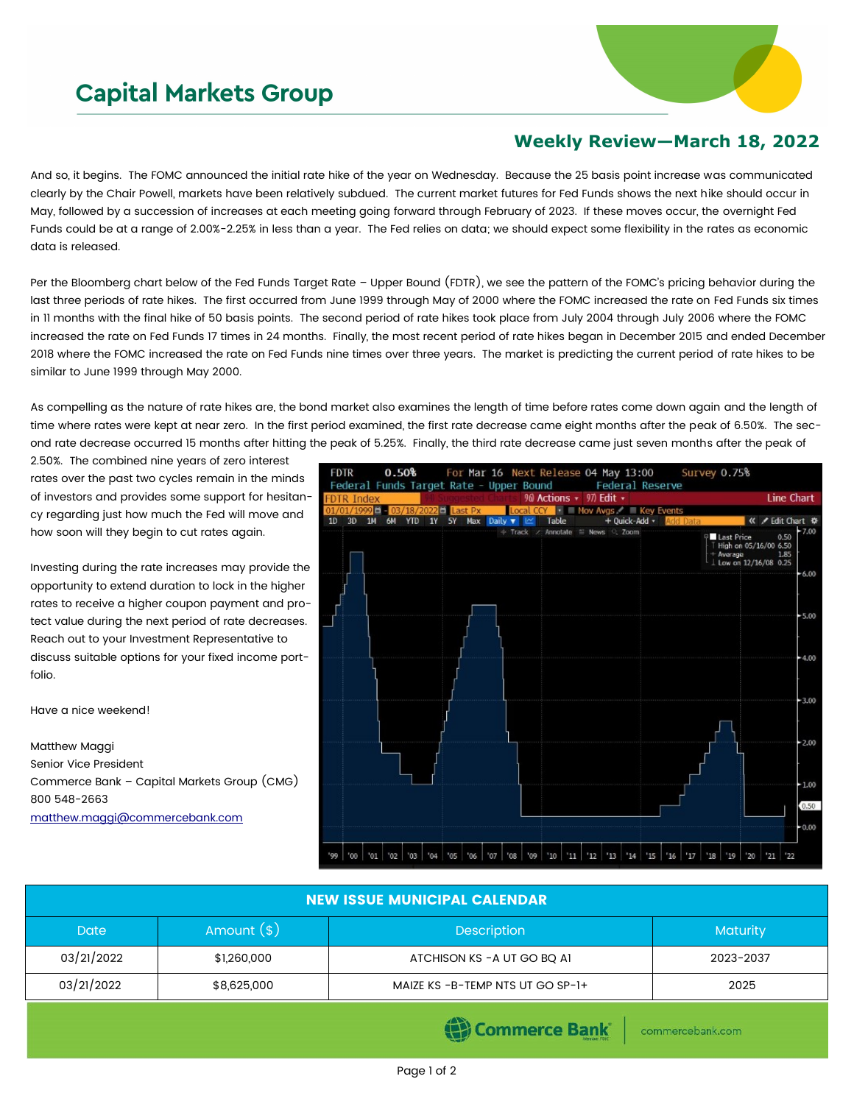## **Capital Markets Group**



## **Weekly Review—March 18, 2022**

And so, it begins. The FOMC announced the initial rate hike of the year on Wednesday. Because the 25 basis point increase was communicated clearly by the Chair Powell, markets have been relatively subdued. The current market futures for Fed Funds shows the next hike should occur in May, followed by a succession of increases at each meeting going forward through February of 2023. If these moves occur, the overnight Fed Funds could be at a range of 2.00%-2.25% in less than a year. The Fed relies on data; we should expect some flexibility in the rates as economic data is released.

Per the Bloomberg chart below of the Fed Funds Target Rate – Upper Bound (FDTR), we see the pattern of the FOMC's pricing behavior during the last three periods of rate hikes. The first occurred from June 1999 through May of 2000 where the FOMC increased the rate on Fed Funds six times in 11 months with the final hike of 50 basis points. The second period of rate hikes took place from July 2004 through July 2006 where the FOMC increased the rate on Fed Funds 17 times in 24 months. Finally, the most recent period of rate hikes began in December 2015 and ended December 2018 where the FOMC increased the rate on Fed Funds nine times over three years. The market is predicting the current period of rate hikes to be similar to June 1999 through May 2000.

As compelling as the nature of rate hikes are, the bond market also examines the length of time before rates come down again and the length of time where rates were kept at near zero. In the first period examined, the first rate decrease came eight months after the peak of 6.50%. The second rate decrease occurred 15 months after hitting the peak of 5.25%. Finally, the third rate decrease came just seven months after the peak of

2.50%. The combined nine years of zero interest rates over the past two cycles remain in the minds of investors and provides some support for hesitancy regarding just how much the Fed will move and how soon will they begin to cut rates again.

Investing during the rate increases may provide the opportunity to extend duration to lock in the higher rates to receive a higher coupon payment and protect value during the next period of rate decreases. Reach out to your Investment Representative to discuss suitable options for your fixed income portfolio.

Have a nice weekend!

Matthew Maggi Senior Vice President Commerce Bank – Capital Markets Group (CMG) 800 548-2663 [matthew.maggi@commercebank.com](mailto:matthew.maggi@commercebank.com)



| <b>NEW ISSUE MUNICIPAL CALENDAR</b> |               |                                 |                 |  |  |  |
|-------------------------------------|---------------|---------------------------------|-----------------|--|--|--|
| <b>Date</b>                         | Amount $(\$)$ | <b>Description</b>              | <b>Maturity</b> |  |  |  |
| 03/21/2022                          | \$1,260,000   | ATCHISON KS - A UT GO BO AI     | 2023-2037       |  |  |  |
| 03/21/2022                          | \$8,625,000   | MAIZE KS-B-TEMP NTS UT GO SP-1+ | 2025            |  |  |  |

Commerce Bank

commercebank.com